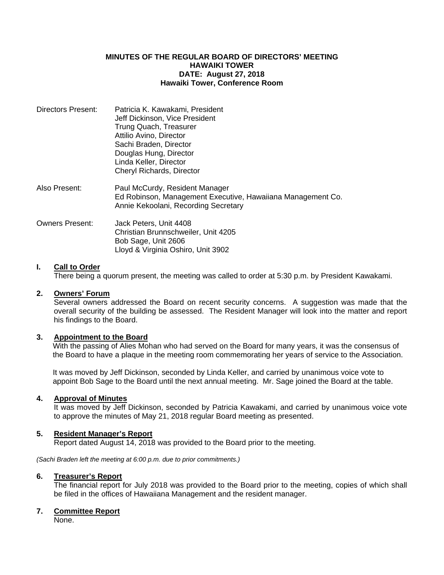## **MINUTES OF THE REGULAR BOARD OF DIRECTORS' MEETING HAWAIKI TOWER DATE: August 27, 2018 Hawaiki Tower, Conference Room**

| Directors Present: | Patricia K. Kawakami, President<br>Jeff Dickinson, Vice President<br>Trung Quach, Treasurer<br>Attilio Avino, Director<br>Sachi Braden, Director<br>Douglas Hung, Director<br>Linda Keller, Director<br>Cheryl Richards, Director |
|--------------------|-----------------------------------------------------------------------------------------------------------------------------------------------------------------------------------------------------------------------------------|
| Also Present:      | Paul McCurdy, Resident Manager<br>Ed Robinson, Management Executive, Hawaiiana Management Co.<br>Annie Kekoolani, Recording Secretary                                                                                             |
| Owners Present:    | Jack Peters, Unit 4408<br>Christian Brunnschweiler, Unit 4205<br>Bob Sage, Unit 2606<br>Lloyd & Virginia Oshiro, Unit 3902                                                                                                        |

# **I. Call to Order**

There being a quorum present, the meeting was called to order at 5:30 p.m. by President Kawakami.

### **2. Owners' Forum**

Several owners addressed the Board on recent security concerns. A suggestion was made that the overall security of the building be assessed. The Resident Manager will look into the matter and report his findings to the Board.

### **3. Appointment to the Board**

With the passing of Alies Mohan who had served on the Board for many years, it was the consensus of the Board to have a plaque in the meeting room commemorating her years of service to the Association.

 It was moved by Jeff Dickinson, seconded by Linda Keller, and carried by unanimous voice vote to appoint Bob Sage to the Board until the next annual meeting. Mr. Sage joined the Board at the table.

# **4. Approval of Minutes**

 It was moved by Jeff Dickinson, seconded by Patricia Kawakami, and carried by unanimous voice vote to approve the minutes of May 21, 2018 regular Board meeting as presented.

### **5. Resident Manager's Report**

Report dated August 14, 2018 was provided to the Board prior to the meeting.

*(Sachi Braden left the meeting at 6:00 p.m. due to prior commitments.)* 

#### **6. Treasurer's Report**

 The financial report for July 2018 was provided to the Board prior to the meeting, copies of which shall be filed in the offices of Hawaiiana Management and the resident manager.

### **7. Committee Report**

None.